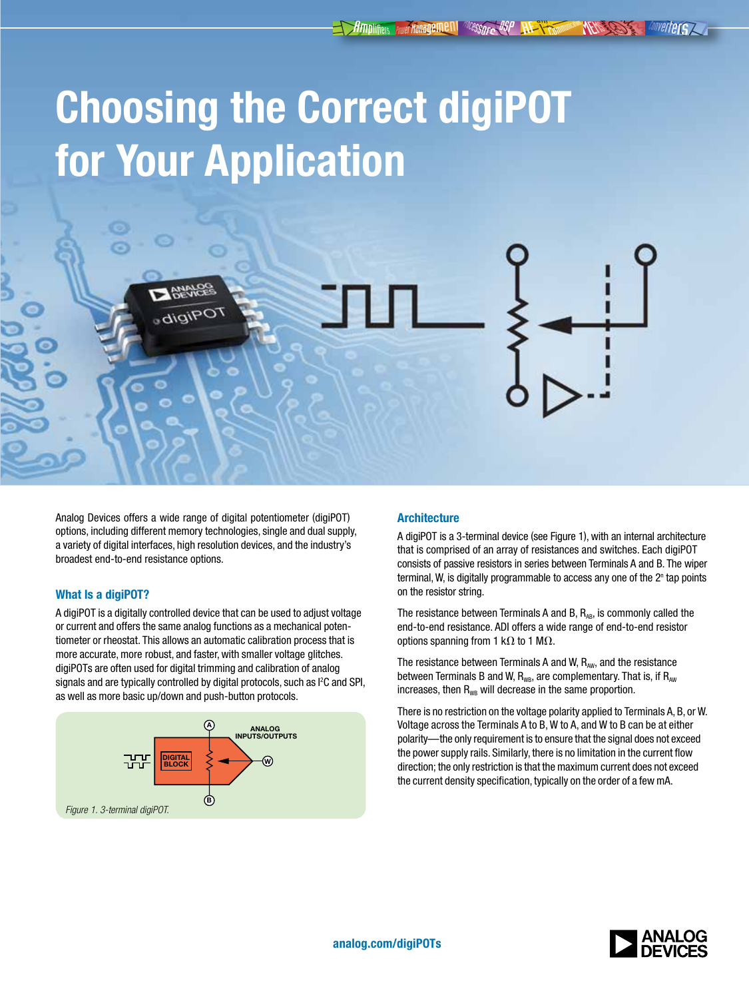# Choosing the Correct digiPOT for Your Application

Analog Devices offers a wide range of digital potentiometer (digiPOT) options, including different memory technologies, single and dual supply, a variety of digital interfaces, high resolution devices, and the industry's

digiPO

# What Is a digiPOT?

broadest end-to-end resistance options.

A digiPOT is a digitally controlled device that can be used to adjust voltage or current and offers the same analog functions as a mechanical potentiometer or rheostat. This allows an automatic calibration process that is more accurate, more robust, and faster, with smaller voltage glitches. digiPOTs are often used for digital trimming and calibration of analog signals and are typically controlled by digital protocols, such as I<sup>2</sup>C and SPI, as well as more basic up/down and push-button protocols.



# **Architecture**

A digiPOT is a 3-terminal device (see Figure 1), with an internal architecture that is comprised of an array of resistances and switches. Each digiPOT consists of passive resistors in series between Terminals A and B. The wiper terminal, W, is digitally programmable to access any one of the 2<sup>n</sup> tap points on the resistor string.

The resistance between Terminals A and B,  $R_{AB}$ , is commonly called the end-to-end resistance. ADI offers a wide range of end-to-end resistor options spanning from 1 k $\Omega$  to 1 M $\Omega$ .

The resistance between Terminals A and W,  $R_{\text{aw}}$ , and the resistance between Terminals B and W,  $R_{WB}$ , are complementary. That is, if  $R_{AW}$ increases, then  $R_{WB}$  will decrease in the same proportion.

There is no restriction on the voltage polarity applied to Terminals A, B, or W. Voltage across the Terminals A to B, W to A, and W to B can be at either polarity—the only requirement is to ensure that the signal does not exceed the power supply rails. Similarly, there is no limitation in the current flow direction; the only restriction is that the maximum current does not exceed the current density specification, typically on the order of a few mA.

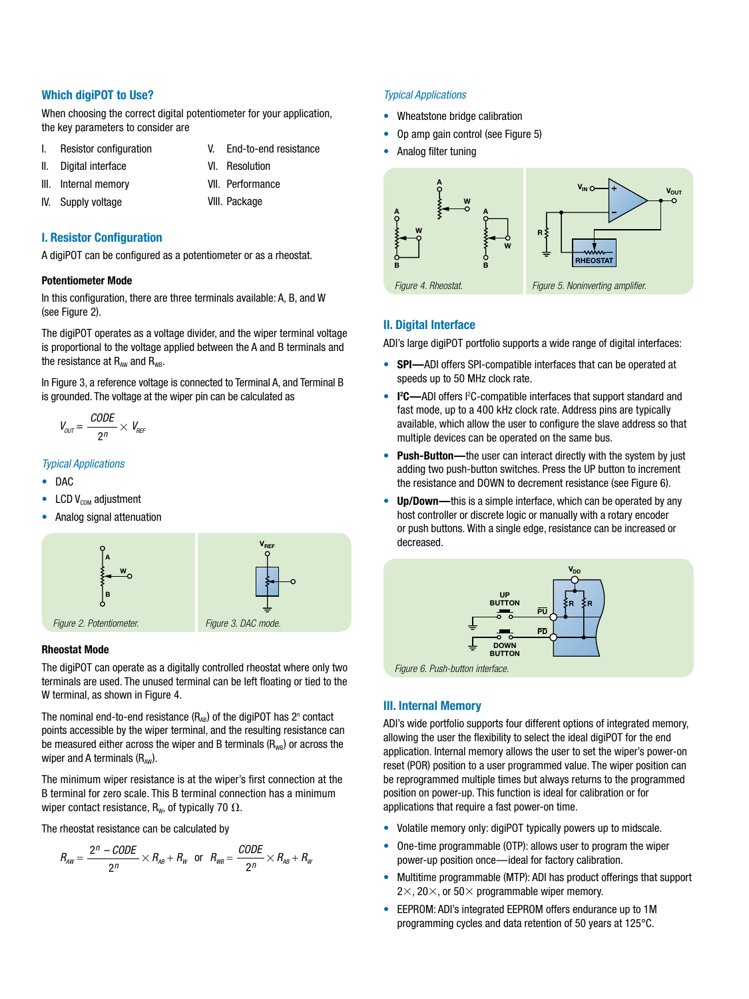## Which digiPOT to Use?

When choosing the correct digital potentiometer for your application. the key parameters to consider are

- I. Resistor configuration
- II. Digital interface

V. End-to-end resistance VI. Resolution

- III. Internal memory
- IV. Supply voltage
- VII. Performance VIII. Package

# I. Resistor Configuration

A digiPOT can be configured as a potentiometer or as a rheostat.

#### Potentiometer Mode

In this configuration, there are three terminals available: A, B, and W (see Figure 2).

The digiPOT operates as a voltage divider, and the wiper terminal voltage is proportional to the voltage applied between the A and B terminals and the resistance at  $R_{AW}$  and  $R_{WB}$ .

In Figure 3, a reference voltage is connected to Terminal A, and Terminal B is grounded. The voltage at the wiper pin can be calculated as

$$
V_{OUT} = \frac{CODE}{2^n} \times V_{REF}
$$

## *Typical Applications*

- DAC
- LCD  $V_{COM}$  adjustment
- Analog signal attenuation



#### Rheostat Mode

The digiPOT can operate as a digitally controlled rheostat where only two terminals are used. The unused terminal can be left floating or tied to the W terminal, as shown in Figure 4.

The nominal end-to-end resistance  $(R_{AB})$  of the digiPOT has  $2^n$  contact points accessible by the wiper terminal, and the resulting resistance can be measured either across the wiper and B terminals  $(R_{WR})$  or across the wiper and A terminals  $(R_{\text{aw}})$ .

The minimum wiper resistance is at the wiper's first connection at the B terminal for zero scale. This B terminal connection has a minimum wiper contact resistance,  $R_w$ , of typically 70  $\Omega$ .

The rheostat resistance can be calculated by

$$
R_{\scriptscriptstyle AW} = \frac{2^n - \text{CODE}}{2^n} \times R_{\scriptscriptstyle AB} + R_{\scriptscriptstyle W} \quad \text{or} \quad R_{\scriptscriptstyle WB} = \frac{\text{CODE}}{2^n} \times R_{\scriptscriptstyle AB} + R_{\scriptscriptstyle W}
$$

#### *Typical Applications*

- Wheatstone bridge calibration
- Op amp gain control (see Figure 5)
- Analog filter tuning



## II. Digital Interface

ADI's large digiPOT portfolio supports a wide range of digital interfaces:

- SPI—ADI offers SPI-compatible interfaces that can be operated at speeds up to 50 MHz clock rate.
- I<sup>2</sup>C—ADI offers I<sup>2</sup>C-compatible interfaces that support standard and fast mode, up to a 400 kHz clock rate. Address pins are typically available, which allow the user to configure the slave address so that multiple devices can be operated on the same bus.
- Push-Button—the user can interact directly with the system by just adding two push-button switches. Press the UP button to increment the resistance and DOWN to decrement resistance (see Figure 6).
- Up/Down—this is a simple interface, which can be operated by any host controller or discrete logic or manually with a rotary encoder or push buttons. With a single edge, resistance can be increased or decreased.



## III. Internal Memory

ADI's wide portfolio supports four different options of integrated memory, allowing the user the flexibility to select the ideal digiPOT for the end application. Internal memory allows the user to set the wiper's power-on reset (POR) position to a user programmed value. The wiper position can be reprogrammed multiple times but always returns to the programmed position on power-up. This function is ideal for calibration or for applications that require a fast power-on time.

- Volatile memory only: digiPOT typically powers up to midscale.
- One-time programmable (OTP): allows user to program the wiper power-up position once—ideal for factory calibration.
- Multitime programmable (MTP): ADI has product offerings that support  $2\times$ , 20 $\times$ , or 50 $\times$  programmable wiper memory.
- EEPROM: ADI's integrated EEPROM offers endurance up to 1M programming cycles and data retention of 50 years at 125°C.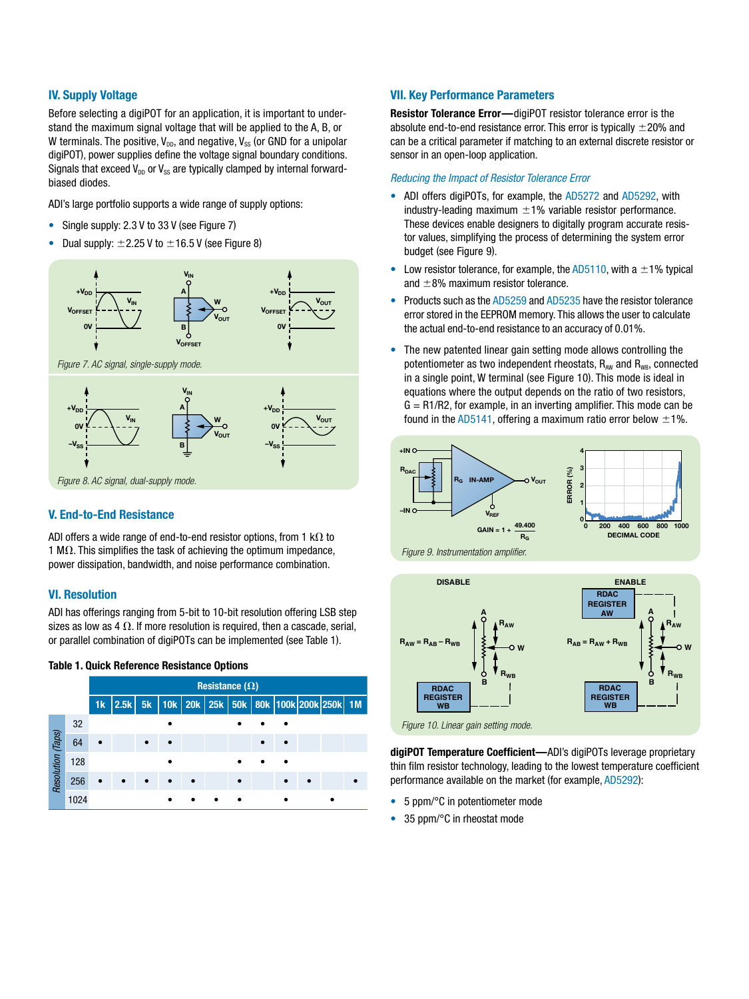# IV. Supply Voltage

Before selecting a digiport for an application, it is important to understand the maximum signal voltage that will be applied to the A, B, or W terminals. The positive,  $V_{DD}$ , and negative,  $V_{SS}$  (or GND for a unipolar digiPOT), power supplies define the voltage signal boundary conditions. Signals that exceed  $V_{\text{DD}}$  or  $V_{\text{SS}}$  are typically clamped by internal forwardbiased diodes.

ADI's large portfolio supports a wide range of supply options:

- Single supply: 2.3 V to 33 V (see Figure 7)
- Dual supply:  $\pm 2.25$  V to  $\pm 16.5$  V (see Figure 8)



## V. End-to-End Resistance

ADI offers a wide range of end-to-end resistor options, from 1 k $\Omega$  to 1 M $\Omega$ . This simplifies the task of achieving the optimum impedance, power dissipation, bandwidth, and noise performance combination.

# VI. Resolution

ADI has offerings ranging from 5-bit to 10-bit resolution offering LSB step sizes as low as 4  $\Omega$ . If more resolution is required, then a cascade, serial, or parallel combination of digiPOTs can be implemented (see Table 1).

## Table 1. Quick Reference Resistance Options



## VII. Key Performance Parameters

Resistor Tolerance Error—digiPOT resistor tolerance error is the absolute end-to-end resistance error. This error is typically  $\pm 20\%$  and can be a critical parameter if matching to an external discrete resistor or sensor in an open-loop application.

#### *Reducing the Impact of Resistor Tolerance Error*

- ADI offers digiPOTs, for example, the [AD5272](http://www.analog.com/AD5272) and [AD5292](http://www.analog.com/AD5292), with industry-leading maximum  $\pm 1$ % variable resistor performance. These devices enable designers to digitally program accurate resistor values, simplifying the process of determining the system error budget (see Figure 9).
- Low resistor tolerance, for example, the  $AD5110$ , with a  $\pm 1\%$  typical and  $\pm 8$ % maximum resistor tolerance.
- Products such as the [AD5259](http://www.analog.com/AD5259) and [AD5235](http://www.analog.com/AD5235) have the resistor tolerance error stored in the EEPROM memory. This allows the user to calculate the actual end-to-end resistance to an accuracy of 0.01%.
- The new patented linear gain setting mode allows controlling the potentiometer as two independent rheostats,  $R_{AW}$  and  $R_{WR}$ , connected in a single point, W terminal (see Figure 10). This mode is ideal in equations where the output depends on the ratio of two resistors,  $G = R1/R2$ , for example, in an inverting amplifier. This mode can be found in the [AD5141,](http://www.analog.com/AD5141) offering a maximum ratio error below  $\pm 1\%$ .





digiPOT Temperature Coefficient—ADI's digiPOTs leverage proprietary thin film resistor technology, leading to the lowest temperature coefficient performance available on the market (for example, [AD5292](http://www.analog.com/AD5292)):

- 5 ppm/°C in potentiometer mode
- 35 ppm/°C in rheostat mode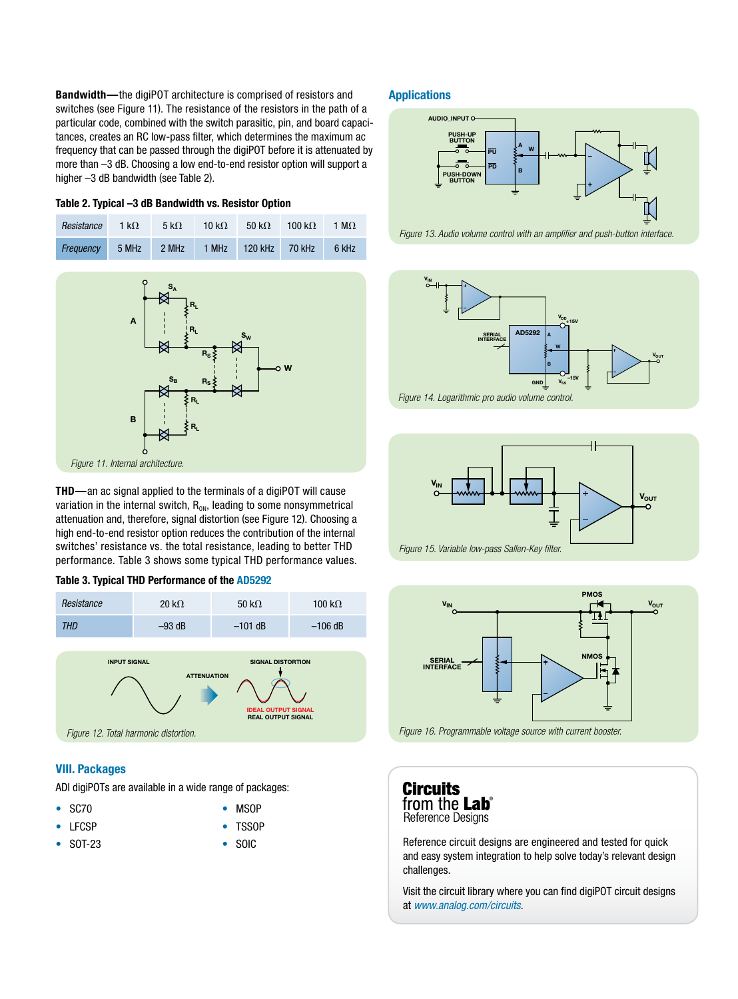Bandwidth—the digiPOT architecture is comprised of resistors and switches (see Figure 11). The resistance of the resistors in the path of a particular code, combined with the switch parasitic, pin, and board capacitances, creates an RC low-pass filter, which determines the maximum ac frequency that can be passed through the digiPOT before it is attenuated by more than –3 dB. Choosing a low end-to-end resistor option will support a higher -3 dB bandwidth (see Table 2).

#### Table 2. Typical –3 dB Bandwidth vs. Resistor Option

| Resistance | 1 k $\Omega$ | 5 k $\Omega$ | 10 k $\Omega$ | 50 k $\Omega$ | 100 k $\Omega$ | 1 M $\Omega$ |
|------------|--------------|--------------|---------------|---------------|----------------|--------------|
| Freauency  | 5 MHz        | 2 MHz        | $1$ MHz       | 120 kHz       | 70 kHz         | 6 kHz        |



THD—an ac signal applied to the terminals of a digiPOT will cause variation in the internal switch,  $R_{ON}$ , leading to some nonsymmetrical attenuation and, therefore, signal distortion (see Figure 12). Choosing a high end-to-end resistor option reduces the contribution of the internal switches' resistance vs. the total resistance, leading to better THD performance. Table 3 shows some typical THD performance values.





# VIII. Packages

ADI digiPOTs are available in a wide range of packages:

- SC70
	- TSSOP
- LFCSP • SOT-23

• SOIC

• MSOP

## **Applications**



*Figure 13. Audio volume control with an amplifier and push-button interface.*





*Figure 15. Variable low-pass Sallen-Key filter.*



*Figure 16. Programmable voltage source with current booster.*

**Circuits** from the **Lab**® Reference Designs

Reference circuit designs are engineered and tested for quick and easy system integration to help solve today's relevant design challenges.

Visit the circuit library where you can find digiPOT circuit designs at *[www.analog.com/circuits.](http://www.analog.com/circuits)*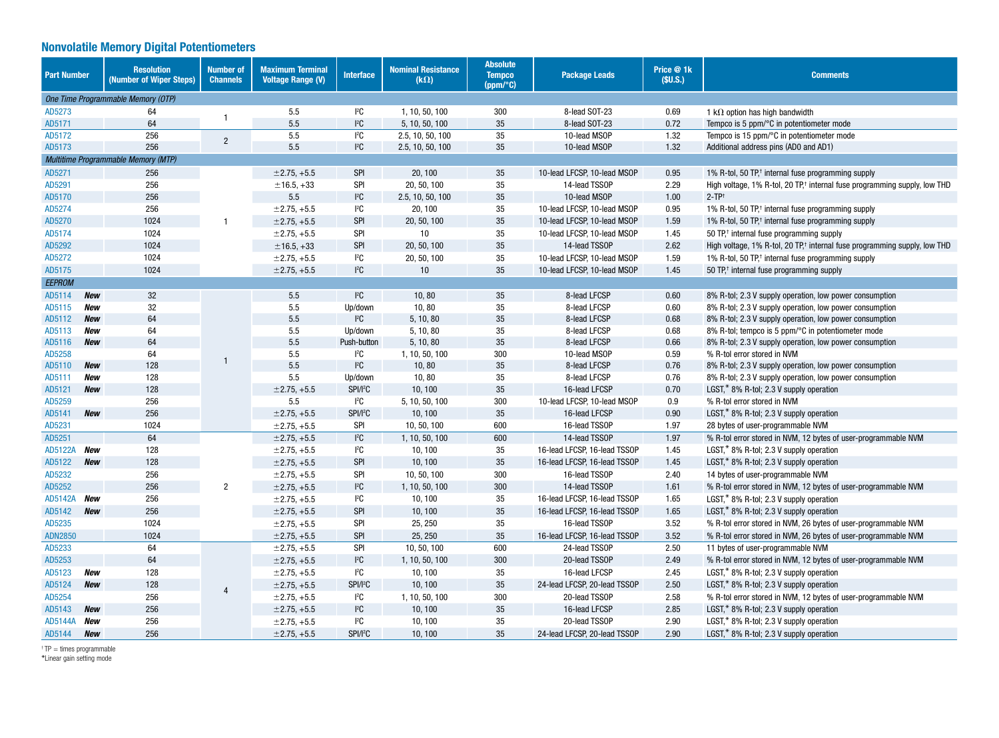# Nonvolatile Memory Digital Potentiometers

| <b>Part Number</b>           | <b>Resolution</b><br>(Number of Wiper Steps) | <b>Number of</b><br><b>Channels</b> | <b>Maximum Terminal</b><br><b>Voltage Range (V)</b> | <b>Interface</b>     | <b>Nominal Resistance</b><br>$(k\Omega)$ | <b>Absolute</b><br><b>Tempco</b><br>(ppm/°C) | <b>Package Leads</b>         | Price @ 1k<br>(SU.S.) | <b>Comments</b>                                                                       |
|------------------------------|----------------------------------------------|-------------------------------------|-----------------------------------------------------|----------------------|------------------------------------------|----------------------------------------------|------------------------------|-----------------------|---------------------------------------------------------------------------------------|
|                              | One Time Programmable Memory (OTP)           |                                     |                                                     |                      |                                          |                                              |                              |                       |                                                                                       |
| AD5273                       | 64                                           |                                     | 5.5                                                 | ${}^{12}C$           | 1, 10, 50, 100                           | 300                                          | 8-lead SOT-23                | 0.69                  | 1 k $\Omega$ option has high bandwidth                                                |
| AD5171                       | 64                                           |                                     | 5.5                                                 | $I^2C$               | 5, 10, 50, 100                           | 35                                           | 8-lead SOT-23                | 0.72                  | Tempco is 5 ppm/ $\degree$ C in potentiometer mode                                    |
| AD5172                       | 256                                          | $\overline{2}$                      | 5.5                                                 | $I^2C$               | 2.5, 10, 50, 100                         | 35                                           | 10-lead MSOP                 | 1.32                  | Tempco is 15 ppm/°C in potentiometer mode                                             |
| AD5173                       | 256                                          |                                     | 5.5                                                 | ${}^{12}C$           | 2.5, 10, 50, 100                         | 35                                           | 10-lead MSOP                 | 1.32                  | Additional address pins (AD0 and AD1)                                                 |
|                              | Multitime Programmable Memory (MTP)          |                                     |                                                     |                      |                                          |                                              |                              |                       |                                                                                       |
| AD5271                       | 256                                          |                                     | $±2.75, +5.5$                                       | <b>SPI</b>           | 20.100                                   | 35                                           | 10-lead LFCSP, 10-lead MSOP  | 0.95                  | 1% R-tol, 50 TP, <sup>+</sup> internal fuse programming supply                        |
| AD5291                       | 256                                          |                                     | $±16.5, +33$                                        | <b>SPI</b>           | 20, 50, 100                              | 35                                           | 14-lead TSSOP                | 2.29                  | High voltage, 1% R-tol, 20 TP, <sup>†</sup> internal fuse programming supply, low THD |
| AD5170                       | 256                                          |                                     | 5.5                                                 | $I^2C$               | 2.5, 10, 50, 100                         | 35                                           | 10-lead MSOP                 | 1.00                  | $2-TP^+$                                                                              |
| AD5274                       | 256                                          |                                     | $±2.75, +5.5$                                       | ${}^{12}C$           | 20, 100                                  | 35                                           | 10-lead LFCSP, 10-lead MSOP  | 0.95                  | 1% R-tol, 50 TP, <sup>+</sup> internal fuse programming supply                        |
| AD5270                       | 1024                                         |                                     | $±2.75, +5.5$                                       | <b>SPI</b>           | 20, 50, 100                              | 35                                           | 10-lead LFCSP, 10-lead MSOP  | 1.59                  | 1% R-tol, 50 TP, <sup>†</sup> internal fuse programming supply                        |
| AD5174                       | 1024                                         |                                     | $±2.75, +5.5$                                       | <b>SPI</b>           | 10                                       | 35                                           | 10-lead LFCSP, 10-lead MSOP  | 1.45                  | 50 TP, <sup>†</sup> internal fuse programming supply                                  |
| AD5292                       | 1024                                         |                                     | $±16.5, +33$                                        | <b>SPI</b>           | 20, 50, 100                              | 35                                           | 14-lead TSSOP                | 2.62                  | High voltage, 1% R-tol, 20 TP, <sup>†</sup> internal fuse programming supply, low THD |
| AD5272                       | 1024                                         |                                     | $±2.75, +5.5$                                       | ${}^{12}C$           | 20, 50, 100                              | 35                                           | 10-lead LFCSP, 10-lead MSOP  | 1.59                  | 1% R-tol, 50 TP, <sup>†</sup> internal fuse programming supply                        |
| AD5175                       | 1024                                         |                                     | $±2.75, +5.5$                                       | ${}^{12}C$           | 10                                       | 35                                           | 10-lead LFCSP, 10-lead MSOP  | 1.45                  | 50 TP, <sup>†</sup> internal fuse programming supply                                  |
| <b>EEPROM</b>                |                                              |                                     |                                                     |                      |                                          |                                              |                              |                       |                                                                                       |
| AD5114<br>New                | 32                                           |                                     | 5.5                                                 | $I^2C$               | 10, 80                                   | 35                                           | 8-lead LFCSP                 | 0.60                  | 8% R-tol; 2.3 V supply operation, low power consumption                               |
| AD5115<br>New                | 32                                           |                                     | 5.5                                                 | Up/down              | 10,80                                    | 35                                           | 8-lead LFCSP                 | 0.60                  | 8% R-tol; 2.3 V supply operation, low power consumption                               |
| AD5112<br>New                | 64                                           |                                     | 5.5                                                 | ${}^{12}C$           | 5, 10, 80                                | 35                                           | 8-lead LFCSP                 | 0.68                  | 8% R-tol; 2.3 V supply operation, low power consumption                               |
| AD5113<br>New                | 64                                           |                                     | 5.5                                                 | Up/down              | 5, 10, 80                                | 35                                           | 8-lead LFCSP                 | 0.68                  | 8% R-tol; tempco is 5 ppm/°C in potentiometer mode                                    |
| AD5116<br><b>New</b>         | 64                                           |                                     | 5.5                                                 | Push-button          | 5, 10, 80                                | 35                                           | 8-lead LFCSP                 | 0.66                  | 8% R-tol; 2.3 V supply operation, low power consumption                               |
| AD5258                       | 64                                           |                                     | 5.5                                                 | $I^2C$               | 1, 10, 50, 100                           | 300                                          | 10-lead MSOP                 | 0.59                  | % R-tol error stored in NVM                                                           |
| AD5110<br>New                | 128                                          |                                     | 5.5                                                 | ${}^{12}C$           | 10,80                                    | 35                                           | 8-lead LFCSP                 | 0.76                  | 8% R-tol; 2.3 V supply operation, low power consumption                               |
| AD5111<br>New                | 128                                          |                                     | 5.5                                                 | Up/down              | 10,80                                    | 35                                           | 8-lead LFCSP                 | 0.76                  | 8% R-tol; 2.3 V supply operation, low power consumption                               |
| AD5121<br><b>New</b>         | 128                                          |                                     | $±2.75, +5.5$                                       | SPI/I <sup>2</sup> C | 10, 100                                  | 35                                           | 16-lead LFCSP                | 0.70                  | $LGST^*$ 8% R-tol: 2.3 V supply operation                                             |
| AD5259                       | 256                                          |                                     | 5.5                                                 | $I^2C$               | 5, 10, 50, 100                           | 300                                          | 10-lead LFCSP, 10-lead MSOP  | 0.9                   | % R-tol error stored in NVM                                                           |
| AD5141<br><b>New</b>         | 256                                          |                                     | $±2.75.+5.5$                                        | SPI/PC               | 10, 100                                  | 35                                           | 16-lead LFCSP                | 0.90                  | LGST, $*$ 8% R-tol; 2.3 V supply operation                                            |
| AD5231                       | 1024                                         |                                     | $±2.75, +5.5$                                       | <b>SPI</b>           | 10, 50, 100                              | 600                                          | 16-lead TSSOP                | 1.97                  | 28 bytes of user-programmable NVM                                                     |
| AD5251                       | 64                                           |                                     | $±2.75, +5.5$                                       | $I^2C$               | 1, 10, 50, 100                           | 600                                          | 14-lead TSSOP                | 1.97                  | % R-tol error stored in NVM, 12 bytes of user-programmable NVM                        |
| <b>AD5122A</b><br>New        | 128                                          |                                     | $±2.75, +5.5$                                       | ${}^{12}C$           | 10, 100                                  | 35                                           | 16-lead LFCSP, 16-lead TSSOP | 1.45                  | $LGST$ , $*$ 8% R-tol; 2.3 V supply operation                                         |
| AD5122<br>New                | 128                                          |                                     | $±2.75, +5.5$                                       | <b>SPI</b>           | 10, 100                                  | 35                                           | 16-lead LFCSP, 16-lead TSSOP | 1.45                  | $LGST$ , $*$ 8% R-tol; 2.3 V supply operation                                         |
| AD5232                       | 256                                          |                                     | $±2.75, +5.5$                                       | <b>SPI</b>           | 10, 50, 100                              | 300                                          | 16-lead TSSOP                | 2.40                  | 14 bytes of user-programmable NVM                                                     |
| AD5252                       | 256                                          | $\overline{2}$                      | $±2.75, +5.5$                                       | $I^2C$               | 1, 10, 50, 100                           | 300                                          | 14-lead TSSOP                | 1.61                  | % R-tol error stored in NVM, 12 bytes of user-programmable NVM                        |
| <b>AD5142A</b><br><b>New</b> | 256                                          |                                     | $±2.75, +5.5$                                       | $I^2C$               | 10, 100                                  | 35                                           | 16-lead LFCSP, 16-lead TSSOP | 1.65                  | LGST,* 8% R-tol; 2.3 V supply operation                                               |
| AD5142<br><b>New</b>         | 256                                          |                                     | $±2.75, +5.5$                                       | <b>SPI</b>           | 10, 100                                  | 35                                           | 16-lead LFCSP, 16-lead TSSOP | 1.65                  | $LGST^*$ 8% R-tol; 2.3 V supply operation                                             |
| AD5235                       | 1024                                         |                                     | $±2.75, +5.5$                                       | <b>SPI</b>           | 25, 250                                  | 35                                           | 16-lead TSSOP                | 3.52                  | % R-tol error stored in NVM, 26 bytes of user-programmable NVM                        |
| <b>ADN2850</b>               | 1024                                         |                                     | $±2.75, +5.5$                                       | <b>SPI</b>           | 25, 250                                  | 35                                           | 16-lead LFCSP, 16-lead TSSOP | 3.52                  | % R-tol error stored in NVM, 26 bytes of user-programmable NVM                        |
| AD5233                       | 64                                           |                                     | $±2.75, +5.5$                                       | <b>SPI</b>           | 10, 50, 100                              | 600                                          | 24-lead TSSOP                | 2.50                  | 11 bytes of user-programmable NVM                                                     |
| AD5253                       | 64                                           |                                     | $±2.75, +5.5$                                       | $I^2C$               | 1, 10, 50, 100                           | 300                                          | 20-lead TSSOP                | 2.49                  | % R-tol error stored in NVM, 12 bytes of user-programmable NVM                        |
| AD5123<br>New                | 128                                          | 4                                   | $±2.75, +5.5$                                       | ${}^{12}C$           | 10, 100                                  | 35                                           | 16-lead LFCSP                | 2.45                  | $LGST$ , $*$ 8% R-tol; 2.3 V supply operation                                         |
| AD5124<br><b>New</b>         | 128                                          |                                     | $±2.75, +5.5$                                       | SPI/I <sup>2</sup> C | 10, 100                                  | 35                                           | 24-lead LFCSP, 20-lead TSSOP | 2.50                  | $LGST$ , $*$ 8% R-tol; 2.3 V supply operation                                         |
| AD5254                       | 256                                          |                                     | $±2.75, +5.5$                                       | $I^2C$               | 1, 10, 50, 100                           | 300                                          | 20-lead TSSOP                | 2.58                  | % R-tol error stored in NVM, 12 bytes of user-programmable NVM                        |
| AD5143<br>New                | 256                                          |                                     | $±2.75, +5.5$                                       | $I^2C$               | 10, 100                                  | 35                                           | 16-lead LFCSP                | 2.85                  | $LGST^*$ 8% R-tol: 2.3 V supply operation                                             |
| <b>AD5144A</b><br><b>New</b> | 256                                          |                                     | $±2.75, +5.5$                                       | $I^2C$               | 10, 100                                  | 35                                           | 20-lead TSSOP                | 2.90                  | LGST,* 8% R-tol; 2.3 V supply operation                                               |
| AD5144<br><b>New</b>         | 256                                          |                                     | $±2.75, +5.5$                                       | SPI/l <sup>2</sup> C | 10.100                                   | 35                                           | 24-lead LFCSP, 20-lead TSSOP | 2.90                  | LGST,* 8% R-tol; 2.3 V supply operation                                               |

† TP = times programmable \*Linear gain setting mode